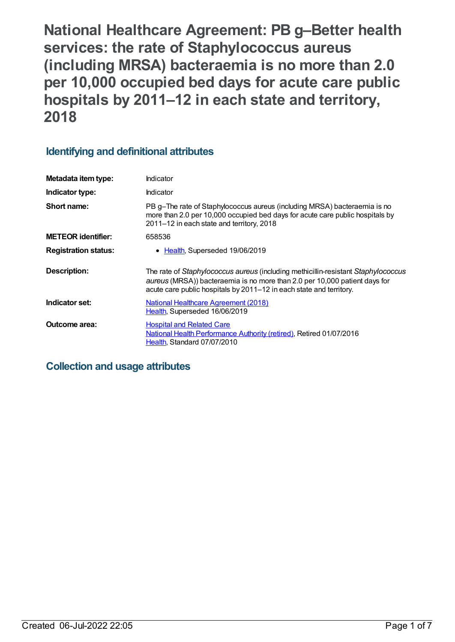**National Healthcare Agreement: PB g–Better health services: the rate of Staphylococcus aureus (including MRSA) bacteraemia is no more than 2.0 per 10,000 occupied bed days for acute care public hospitals by 2011–12 in each state and territory, 2018**

# **Identifying and definitional attributes**

| Metadata item type:         | Indicator                                                                                                                                                                                                                              |
|-----------------------------|----------------------------------------------------------------------------------------------------------------------------------------------------------------------------------------------------------------------------------------|
| Indicator type:             | Indicator                                                                                                                                                                                                                              |
| Short name:                 | PB g-The rate of Staphylococcus aureus (including MRSA) bacteraemia is no<br>more than 2.0 per 10,000 occupied bed days for acute care public hospitals by<br>2011-12 in each state and territory, 2018                                |
| <b>METEOR identifier:</b>   | 658536                                                                                                                                                                                                                                 |
| <b>Registration status:</b> | • Health, Superseded 19/06/2019                                                                                                                                                                                                        |
| <b>Description:</b>         | The rate of Staphylococcus aureus (including methicillin-resistant Staphylococcus<br>aureus (MRSA)) bacteraemia is no more than 2.0 per 10,000 patient days for<br>acute care public hospitals by 2011–12 in each state and territory. |
| Indicator set:              | <b>National Healthcare Agreement (2018)</b><br>Health, Superseded 16/06/2019                                                                                                                                                           |
| <b>Outcome area:</b>        | <b>Hospital and Related Care</b><br>National Health Performance Authority (retired), Retired 01/07/2016<br>Health, Standard 07/07/2010                                                                                                 |

# **Collection and usage attributes**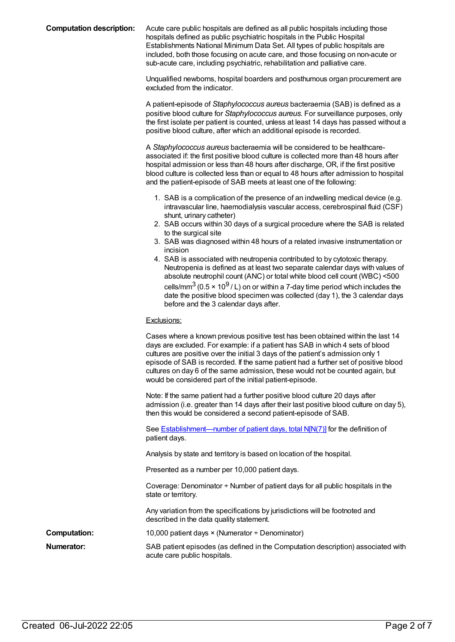**Computation description:** Acute care public hospitals are defined as all public hospitals including those hospitals defined as public psychiatric hospitals in the Public Hospital Establishments National Minimum Data Set. All types of public hospitals are included, both those focusing on acute care, and those focusing on non-acute or sub-acute care, including psychiatric, rehabilitation and palliative care.

> Unqualified newborns, hospital boarders and posthumous organ procurement are excluded from the indicator.

A patient-episode of *Staphylococcus aureus* bacteraemia (SAB) is defined as a positive blood culture for *Staphylococcus aureus*. For surveillance purposes, only the first isolate per patient is counted, unless at least 14 days has passed without a positive blood culture, after which an additional episode is recorded.

A *Staphylococcus aureus* bacteraemia will be considered to be healthcareassociated if: the first positive blood culture is collected more than 48 hours after hospital admission or less than 48 hours after discharge, OR, if the first positive blood culture is collected less than or equal to 48 hours after admission to hospital and the patient-episode of SAB meets at least one of the following:

- 1. SAB is a complication of the presence of an indwelling medical device (e.g. intravascular line, haemodialysis vascular access, cerebrospinal fluid (CSF) shunt, urinary catheter)
- 2. SAB occurs within 30 days of a surgical procedure where the SAB is related to the surgical site
- 3. SAB was diagnosed within 48 hours of a related invasive instrumentation or incision
- 4. SAB is associated with neutropenia contributed to by cytotoxic therapy. Neutropenia is defined as at least two separate calendar days with values of absolute neutrophil count (ANC) or total white blood cell count (WBC) <500 cells/mm $^3$  (0.5 × 10 $^9$  / L) on or within a 7-day time period which includes the date the positive blood specimen was collected (day 1), the 3 calendar days before and the 3 calendar days after.

#### Exclusions:

|                     | Cases where a known previous positive test has been obtained within the last 14<br>days are excluded. For example: if a patient has SAB in which 4 sets of blood<br>cultures are positive over the initial 3 days of the patient's admission only 1<br>episode of SAB is recorded. If the same patient had a further set of positive blood<br>cultures on day 6 of the same admission, these would not be counted again, but<br>would be considered part of the initial patient-episode. |
|---------------------|------------------------------------------------------------------------------------------------------------------------------------------------------------------------------------------------------------------------------------------------------------------------------------------------------------------------------------------------------------------------------------------------------------------------------------------------------------------------------------------|
|                     | Note: If the same patient had a further positive blood culture 20 days after<br>admission (i.e. greater than 14 days after their last positive blood culture on day 5),<br>then this would be considered a second patient-episode of SAB.                                                                                                                                                                                                                                                |
|                     | See <b>Establishment—number of patient days, total N[N(7)]</b> for the definition of<br>patient days.                                                                                                                                                                                                                                                                                                                                                                                    |
|                     | Analysis by state and territory is based on location of the hospital.                                                                                                                                                                                                                                                                                                                                                                                                                    |
|                     | Presented as a number per 10,000 patient days.                                                                                                                                                                                                                                                                                                                                                                                                                                           |
|                     | Coverage: Denominator $\div$ Number of patient days for all public hospitals in the<br>state or territory.                                                                                                                                                                                                                                                                                                                                                                               |
|                     | Any variation from the specifications by jurisdictions will be footnoted and<br>described in the data quality statement.                                                                                                                                                                                                                                                                                                                                                                 |
| <b>Computation:</b> | 10,000 patient days × (Numerator ÷ Denominator)                                                                                                                                                                                                                                                                                                                                                                                                                                          |
| Numerator:          | SAB patient episodes (as defined in the Computation description) associated with<br>acute care public hospitals.                                                                                                                                                                                                                                                                                                                                                                         |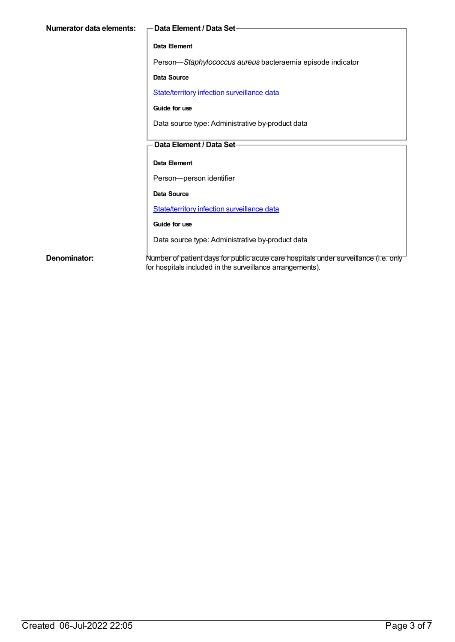| Numerator data elements: | -Data Element / Data Set-                                                                                                                         |
|--------------------------|---------------------------------------------------------------------------------------------------------------------------------------------------|
|                          | Data Element                                                                                                                                      |
|                          | Person-Staphylococcus aureus bacteraemia episode indicator                                                                                        |
|                          | <b>Data Source</b>                                                                                                                                |
|                          | State/territory infection surveillance data                                                                                                       |
|                          | Guide for use                                                                                                                                     |
|                          | Data source type: Administrative by-product data                                                                                                  |
|                          | Data Element / Data Set-                                                                                                                          |
|                          |                                                                                                                                                   |
|                          | Data Element                                                                                                                                      |
|                          | Person-person identifier                                                                                                                          |
|                          | Data Source                                                                                                                                       |
|                          | State/territory infection surveillance data                                                                                                       |
|                          | Guide for use                                                                                                                                     |
|                          | Data source type: Administrative by-product data                                                                                                  |
| Denominator:             | Number of patient days for public acute care hospitals under surveillance (i.e. only<br>for hospitals included in the surveillance arrangements). |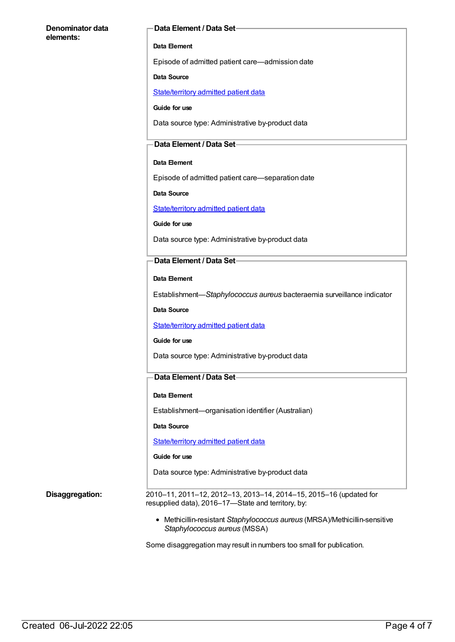#### **Denominator data elements:**

#### **Data Element / Data Set**

#### **Data Element**

Episode of admitted patient care—admission date

#### **Data Source**

[State/territory](https://meteor.aihw.gov.au/content/426458) admitted patient data

**Guide for use**

Data source type: Administrative by-product data

### **Data Element / Data Set**

#### **Data Element**

Episode of admitted patient care—separation date

**Data Source**

[State/territory](https://meteor.aihw.gov.au/content/426458) admitted patient data

**Guide for use**

Data source type: Administrative by-product data

#### **Data Element / Data Set**

**Data Element**

Establishment—*Staphylococcus aureus* bacteraemia surveillance indicator

**Data Source**

[State/territory](https://meteor.aihw.gov.au/content/426458) admitted patient data

#### **Guide for use**

Data source type: Administrative by-product data

### **Data Element / Data Set**

#### **Data Element**

Establishment—organisation identifier (Australian)

**Data Source**

[State/territory](https://meteor.aihw.gov.au/content/426458) admitted patient data

#### **Guide for use**

Data source type: Administrative by-product data

**Disaggregation:** 2010–11, 2011–12, 2012–13, 2013–14, 2014–15, 2015–16 (updated for resupplied data), 2016–17—State and territory, by:

> Methicillin-resistant *Staphylococcus aureus* (MRSA)/Methicillin-sensitive *Staphylococcus aureus* (MSSA)

Some disaggregation may result in numbers too small for publication.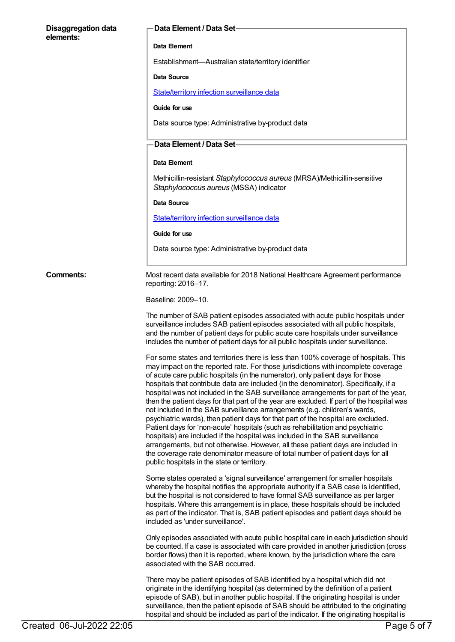#### **Disaggregation data elements:**

#### **Data Element / Data Set**

#### **Data Element**

Establishment—Australian state/territory identifier

#### **Data Source**

[State/territory](https://meteor.aihw.gov.au/content/402699) infection surveillance data

#### **Guide for use**

Data source type: Administrative by-product data

### **Data Element / Data Set**

### **Data Element**

Methicillin-resistant *Staphylococcus aureus* (MRSA)/Methicillin-sensitive *Staphylococcus aureus* (MSSA) indicator

#### **Data Source**

[State/territory](https://meteor.aihw.gov.au/content/402699) infection surveillance data

#### **Guide for use**

Data source type: Administrative by-product data

**Comments:** Most recent data available for 2018 National Healthcare Agreement performance reporting: 2016–17.

#### Baseline: 2009–10.

The number of SAB patient episodes associated with acute public hospitals under surveillance includes SAB patient episodes associated with all public hospitals, and the number of patient days for public acute care hospitals under surveillance includes the number of patient days for all public hospitals under surveillance.

For some states and territories there is less than 100% coverage of hospitals. This may impact on the reported rate. For those jurisdictions with incomplete coverage of acute care public hospitals (in the numerator), only patient days for those hospitals that contribute data are included (in the denominator). Specifically, if a hospital was not included in the SAB surveillance arrangements for part of the year, then the patient days for that part of the year are excluded. If part of the hospital was not included in the SAB surveillance arrangements (e.g. children's wards, psychiatric wards), then patient days for that part of the hospital are excluded. Patient days for 'non-acute' hospitals (such as rehabilitation and psychiatric hospitals) are included if the hospital was included in the SAB surveillance arrangements, but not otherwise. However, all these patient days are included in the coverage rate denominator measure of total number of patient days for all public hospitals in the state or territory.

Some states operated a 'signal surveillance' arrangement for smaller hospitals whereby the hospital notifies the appropriate authority if a SAB case is identified, but the hospital is not considered to have formal SAB surveillance as per larger hospitals. Where this arrangement is in place, these hospitals should be included as part of the indicator. That is, SAB patient episodes and patient days should be included as 'under surveillance'.

Only episodes associated with acute public hospital care in each jurisdiction should be counted. If a case is associated with care provided in another jurisdiction (cross border flows) then it is reported, where known, by the jurisdiction where the care associated with the SAB occurred.

There may be patient episodes of SAB identified by a hospital which did not originate in the identifying hospital (as determined by the definition of a patient episode of SAB), but in another public hospital. If the originating hospital is under surveillance, then the patient episode of SAB should be attributed to the originating hospital and should be included as part of the indicator. If the originating hospital is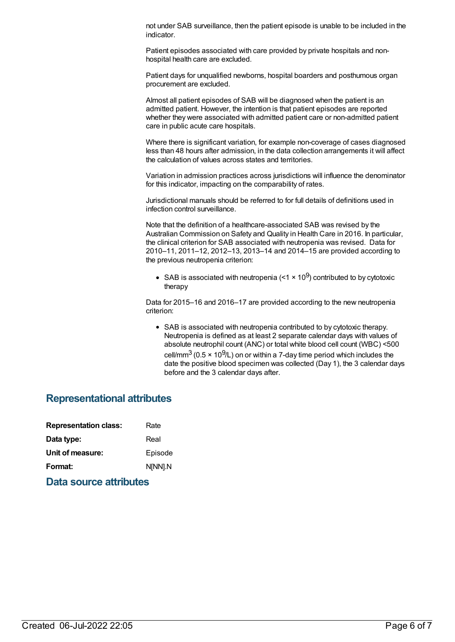not under SAB surveillance, then the patient episode is unable to be included in the indicator.

Patient episodes associated with care provided by private hospitals and nonhospital health care are excluded.

Patient days for unqualified newborns, hospital boarders and posthumous organ procurement are excluded.

Almost all patient episodes of SAB will be diagnosed when the patient is an admitted patient. However, the intention is that patient episodes are reported whether they were associated with admitted patient care or non-admitted patient care in public acute care hospitals.

Where there is significant variation, for example non-coverage of cases diagnosed less than 48 hours after admission, in the data collection arrangements it will affect the calculation of values across states and territories.

Variation in admission practices across jurisdictions will influence the denominator for this indicator, impacting on the comparability of rates.

Jurisdictional manuals should be referred to for full details of definitions used in infection control surveillance.

Note that the definition of a healthcare-associated SAB was revised by the Australian Commission on Safety and Quality in Health Care in 2016. In particular, the clinical criterion for SAB associated with neutropenia was revised. Data for 2010–11, 2011–12, 2012–13, 2013–14 and 2014–15 are provided according to the previous neutropenia criterion:

SAB is associated with neutropenia (<1  $\times$  10<sup>9</sup>) contributed to by cytotoxic therapy

Data for 2015–16 and 2016–17 are provided according to the new neutropenia criterion:

SAB is associated with neutropenia contributed to by cytotoxic therapy. Neutropenia is defined as at least 2 separate calendar days with values of absolute neutrophil count (ANC) or total white blood cell count (WBC) <500 cell/mm $^3$  (0.5 × 10 $^9$ /L) on or within a 7-day time period which includes the date the positive blood specimen was collected (Day 1), the 3 calendar days before and the 3 calendar days after.

## **Representational attributes**

| <b>Representation class:</b> |  | Rate    |
|------------------------------|--|---------|
| Data type:                   |  | Real    |
| Unit of measure:             |  | Episode |
| Format:                      |  | N[NN].N |
|                              |  |         |

**Data source attributes**